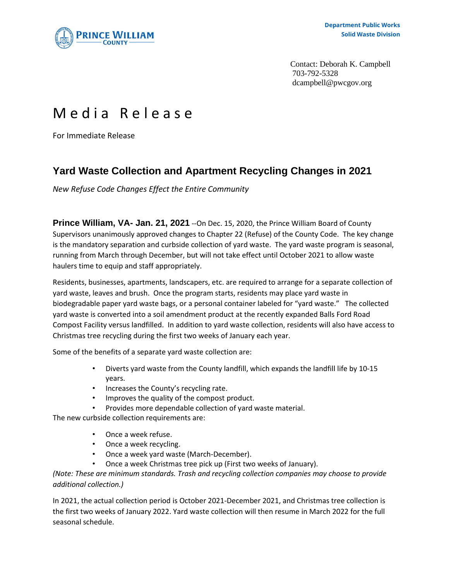

Contact: Deborah K. Campbell 703-792-5328 dcampbell@pwcgov.org

## Media Release

For Immediate Release

## **Yard Waste Collection and Apartment Recycling Changes in 2021**

*New Refuse Code Changes Effect the Entire Community*

**Prince William, VA- Jan. 21, 2021** --On Dec. 15, 2020, the Prince William Board of County Supervisors unanimously approved changes to Chapter 22 (Refuse) of the County Code. The key change is the mandatory separation and curbside collection of yard waste. The yard waste program is seasonal, running from March through December, but will not take effect until October 2021 to allow waste haulers time to equip and staff appropriately.

Residents, businesses, apartments, landscapers, etc. are required to arrange for a separate collection of yard waste, leaves and brush. Once the program starts, residents may place yard waste in biodegradable paper yard waste bags, or a personal container labeled for "yard waste." The collected yard waste is converted into a soil amendment product at the recently expanded Balls Ford Road Compost Facility versus landfilled. In addition to yard waste collection, residents will also have access to Christmas tree recycling during the first two weeks of January each year.

Some of the benefits of a separate yard waste collection are:

- Diverts yard waste from the County landfill, which expands the landfill life by 10-15 years.
- Increases the County's recycling rate.
- Improves the quality of the compost product.
- Provides more dependable collection of yard waste material.

The new curbside collection requirements are:

- Once a week refuse.
- Once a week recycling.
- Once a week yard waste (March-December).
- Once a week Christmas tree pick up (First two weeks of January).

*(Note: These are minimum standards. Trash and recycling collection companies may choose to provide additional collection.)*

In 2021, the actual collection period is October 2021-December 2021, and Christmas tree collection is the first two weeks of January 2022. Yard waste collection will then resume in March 2022 for the full seasonal schedule.